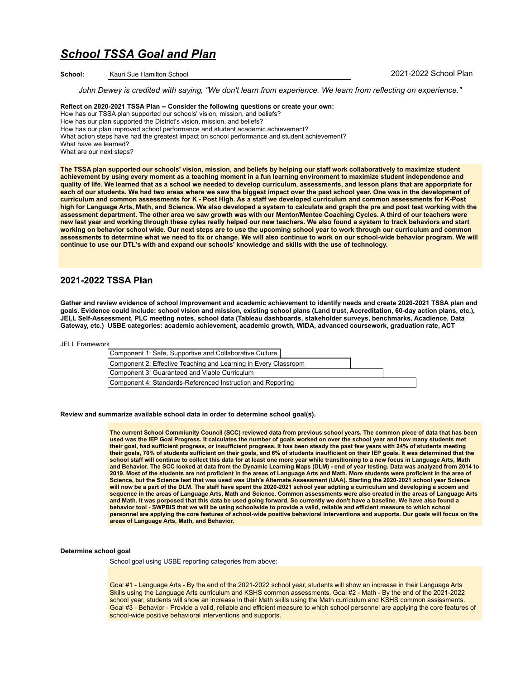# *School TSSA Goal and Plan*

**School:** Kauri Sue Hamilton School 2021-2022 School Plan

*John Dewey is credited with saying, "We don't learn from experience. We learn from reflecting on experience."*

**Reflect on 2020-2021 TSSA Plan -- Consider the following questions or create your own:**  How has our TSSA plan supported our schools' vision, mission, and beliefs? How has our plan supported the District's vision, mission, and beliefs? How has our plan improved school performance and student academic achievement? What action steps have had the greatest impact on school performance and student achievement? What have we learned? What are our next steps?

**The TSSA plan supported our schools' vision, mission, and beliefs by helping our staff work collaboratively to maximize student achievement by using every moment as a teaching moment in a fun learning environment to maximize student independence and quality of life. We learned that as a school we needed to develop curriculum, assessments, and lesson plans that are apporpriate for**  each of our students. We had two areas where we saw the biggest impact over the past school year. One was in the development of **curriculum and common assessments for K - Post High. As a staff we developed curriculum and common assessments for K-Post high for Language Arts, Math, and Science. We also developed a system to calculate and graph the pre and post test working with the assessment department. The other area we saw growth was with our Mentor/Mentee Coaching Cycles. A third of our teachers were new last year and working through these cyles really helped our new teachers. We also found a system to track behaviors and start working on behavior school wide. Our next steps are to use the upcoming school year to work through our curriculum and common assessments to determine what we need to fix or change. We will also continue to work on our school-wide behavior program. We will continue to use our DTL's with and expand our schools' knowledge and skills with the use of technology.** 

# **2021-2022 TSSA Plan**

**Gather and review evidence of school improvement and academic achievement to identify needs and create 2020-2021 TSSA plan and goals. Evidence could include: school vision and mission, existing school plans (Land trust, Accreditation, 60-day action plans, etc.), JELL Self-Assessment, PLC meeting notes, school data (Tableau dashboards, stakeholder surveys, benchmarks, Acadience, Data Gateway, etc.) USBE categories: academic achievement, academic growth, WIDA, advanced coursework, graduation rate, ACT** 

**[JELL Framework](#gid=777270686)** 

| Component 1: Safe, Supportive and Collaborative Culture         |  |
|-----------------------------------------------------------------|--|
| Component 2: Effective Teaching and Learning in Every Classroom |  |
| Component 3: Guaranteed and Viable Curriculum                   |  |
| Component 4: Standards-Referenced Instruction and Reporting     |  |

## **Review and summarize available school data in order to determine school goal(s).**

**The current School Commiunity Council (SCC) reviewed data from previous school years. The common piece of data that has been used was the IEP Goal Progress. It calculates the number of goals worked on over the school year and how many students met their goal, had sufficient progress, or insufficient progress. It has been steady the past few years with 24% of students meeting their goals, 70% of students sufficient on their goals, and 6% of students insufficient on their IEP goals. It was determined that the**  school staff will continue to collect this data for at least one more year while transitioning to a new focus in Language Arts, Math<br>and Behavior. The SCC looked at data from the Dynamic Learning Maps (DLM) - end of year t **Science, but the Science test that was used was Utah's Alternate Assessment (UAA). Starting the 2020-2021 school year Science will now be a part of the DLM. The staff have spent the 2020-2021 school year adpting a curriculum and developing a scoem and sequence in the areas of Language Arts, Math and Science. Common assessments were also created in the areas of Language Arts and Math. It was porposed that this data be used going forward. So currently we don't have a baseline. We have also found a**  behavior tool - SWPBIS that we will be using schoolwide to provide a valid, reliable and efficient measure to which school<br>personnel are applying the core features of school-wide positive behavioral interventions and suppo **areas of Language Arts, Math, and Behavior.**

#### **Determine school goal**

School goal using USBE reporting categories from above:

Goal #1 - Language Arts - By the end of the 2021-2022 school year, students will show an increase in their Language Arts Skills using the Language Arts curriculum and KSHS common assessments. Goal #2 - Math - By the end of the 2021-2022 school year, students will show an increase in their Math skills using the Math curriculum and KSHS common assissments. Goal #3 - Behavior - Provide a valid, reliable and efficient measure to which school personnel are applying the core features of school-wide positive behavioral interventions and supports.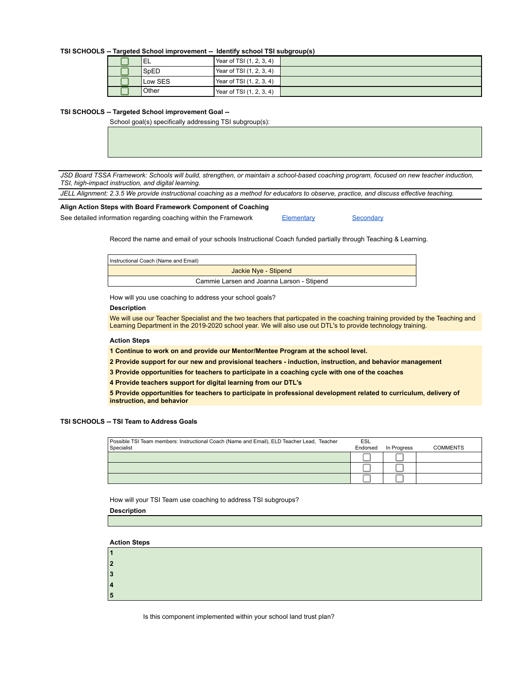## **TSI SCHOOLS -- Targeted School improvement -- Identify school TSI subgroup(s)**

|         |                          | . |
|---------|--------------------------|---|
| 'EL     | Year of TSI (1, 2, 3, 4) |   |
| SpED    | Year of TSI (1, 2, 3, 4) |   |
| Low SES | Year of TSI (1, 2, 3, 4) |   |
| .Other  | Year of TSI (1, 2, 3, 4) |   |

## **TSI SCHOOLS -- Targeted School improvement Goal --**

School goal(s) specifically addressing TSI subgroup(s):

*JSD Board TSSA Framework: Schools will build, strengthen, or maintain a school-based coaching program, focused on new teacher induction, TSI, high-impact instruction, and digital learning.*

*JELL Alignment: 2.3.5 We provide instructional coaching as a method for educators to observe, practice, and discuss effective teaching.*

## **Align Action Steps with Board Framework Component of Coaching**  See detailed information regarding coaching within the Framework [Elementary](https://docs.google.com/document/d/1HlsQCn2GgkaA2ZDE42LRs1wmsRiQgBH3DEw9Uz_iL6E/edit?usp=sharing) [Secondary](https://docs.google.com/document/d/1FBddWbx2Z85xqrUGgpqo6jE70H_s402hTTbIOjiaPL4/edit?usp=sharing)

Record the name and email of your schools Instructional Coach funded partially through Teaching & Learning.

| Instructional Coach (Name and Email)      |
|-------------------------------------------|
| Jackie Nye - Stipend                      |
| Cammie Larsen and Joanna Larson - Stipend |

How will you use coaching to address your school goals?

## **Description**

We will use our Teacher Specialist and the two teachers that particpated in the coaching training provided by the Teaching and Learning Department in the 2019-2020 school year. We will also use out DTL's to provide technology training.

## **Action Steps**

**1 Continue to work on and provide our Mentor/Mentee Program at the school level.**

**2 Provide support for our new and provisional teachers - induction, instruction, and behavior management**

**3 Provide opportunities for teachers to participate in a coaching cycle with one of the coaches**

**4 Provide teachers support for digital learning from our DTL's**

**5 Provide opportunities for teachers to participate in professional development related to curriculum, delivery of instruction, and behavior**

## **TSI SCHOOLS -- TSI Team to Address Goals**

| Possible TSI Team members: Instructional Coach (Name and Email), ELD Teacher Lead, Teacher<br>Specialist | ESL<br>Endorsed | In Progress | <b>COMMENTS</b> |
|----------------------------------------------------------------------------------------------------------|-----------------|-------------|-----------------|
|                                                                                                          |                 |             |                 |
|                                                                                                          |                 |             |                 |
|                                                                                                          |                 |             |                 |

How will your TSI Team use coaching to address TSI subgroups?

**Description**

**Action Steps**

| .,     |  |
|--------|--|
| д<br>- |  |
|        |  |

Is this component implemented within your school land trust plan?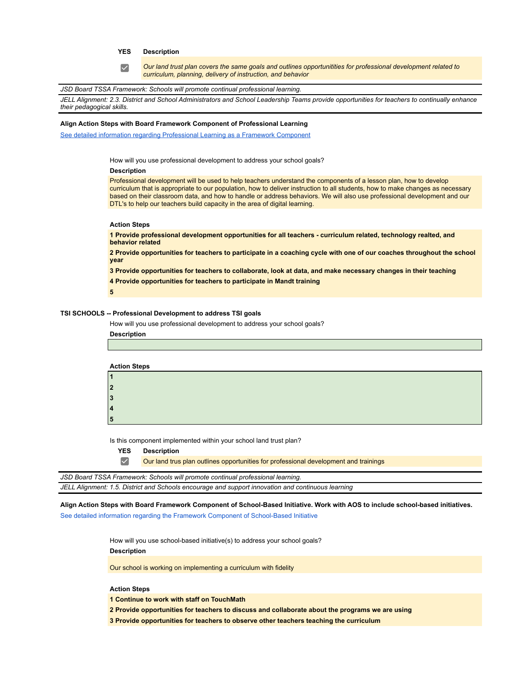## **YES Description**

*Our land trust plan covers the same goals and outlines opportunitities for professional development related to curriculum, planning, delivery of instruction, and behavior*

## *JSD Board TSSA Framework: Schools will promote continual professional learning.*

*JELL Alignment: 2.3. District and School Administrators and School Leadership Teams provide opportunities for teachers to continually enhance their pedagogical skills.*

#### **Align Action Steps with Board Framework Component of Professional Learning**

[See detailed information regarding Professional Learning as a Framework Component](https://docs.google.com/document/d/1hiAmddYtjGbCE-4S_LQU3Fh76ArPjSpmKC7FNqbk5uc/edit?usp=sharing)

How will you use professional development to address your school goals?

## **Description**

 $\blacktriangledown$ 

Professional development will be used to help teachers understand the components of a lesson plan, how to develop curriculum that is appropriate to our population, how to deliver instruction to all students, how to make changes as necessary based on their classroom data, and how to handle or address behaviors. We will also use professional development and our DTL's to help our teachers build capacity in the area of digital learning.

#### **Action Steps**

**1 Provide professional development opportunities for all teachers - curriculum related, technology realted, and behavior related**

**2 Provide opportunities for teachers to participate in a coaching cycle with one of our coaches throughout the school year**

**3 Provide opportunities for teachers to collaborate, look at data, and make necessary changes in their teaching**

**4 Provide opportunities for teachers to participate in Mandt training**

**5**

## **TSI SCHOOLS -- Professional Development to address TSI goals**

How will you use professional development to address your school goals?

**Description**

| <b>Action Steps</b> |  |
|---------------------|--|
|                     |  |
| $\overline{2}$      |  |
| 3                   |  |
| 4                   |  |
| 5                   |  |
|                     |  |

Is this component implemented within your school land trust plan?

**YES Description**

 $\blacktriangledown$ 

Our land trus plan outlines opportunities for professional development and trainings

*JSD Board TSSA Framework: Schools will promote continual professional learning. JELL Alignment: 1.5. District and Schools encourage and support innovation and continuous learning*

**Align Action Steps with Board Framework Component of School-Based Initiative. Work with AOS to include school-based initiatives.** 

[See detailed information regarding the Framework Component of School-Based Initiative](https://docs.google.com/document/d/1TvzlTQFkClJBQLp22lAbEwl3LgoY4Ixnqu5sEp1H7Vk/edit?usp=sharing)

How will you use school-based initiative(s) to address your school goals?

**Description**

Our school is working on implementing a curriculum with fidelity

## **Action Steps**

**1 Continue to work with staff on TouchMath**

**2 Provide opportunities for teachers to discuss and collaborate about the programs we are using**

**3 Provide opportunities for teachers to observe other teachers teaching the curriculum**